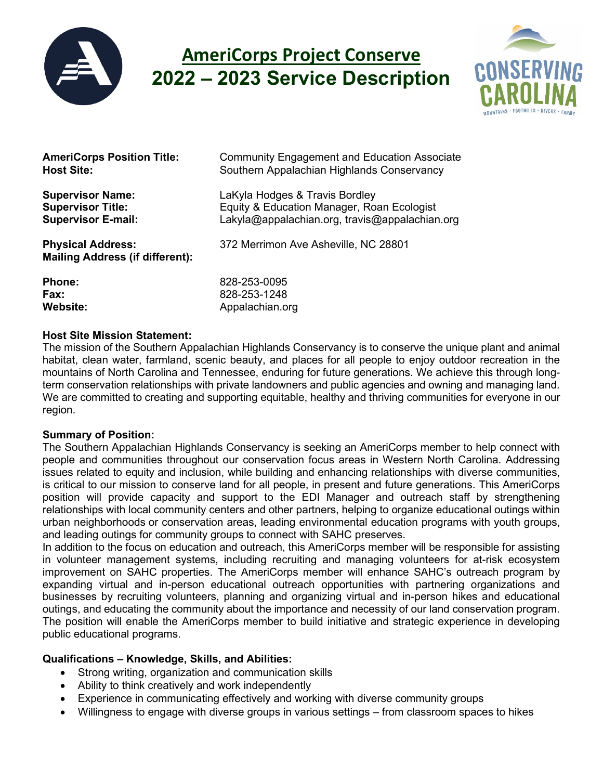

# **AmeriCorps Project Conserve 2022 – 2023 Service Description**



| <b>AmeriCorps Position Title:</b>                                  | <b>Community Engagement and Education Associate</b> |
|--------------------------------------------------------------------|-----------------------------------------------------|
| <b>Host Site:</b>                                                  | Southern Appalachian Highlands Conservancy          |
| <b>Supervisor Name:</b>                                            | LaKyla Hodges & Travis Bordley                      |
| <b>Supervisor Title:</b>                                           | Equity & Education Manager, Roan Ecologist          |
| <b>Supervisor E-mail:</b>                                          | Lakyla@appalachian.org, travis@appalachian.org      |
| <b>Physical Address:</b><br><b>Mailing Address (if different):</b> | 372 Merrimon Ave Asheville, NC 28801                |
| <b>Phone:</b>                                                      | 828-253-0095                                        |
| Fax:                                                               | 828-253-1248                                        |

#### **Host Site Mission Statement:**

Website: Website: Appalachian.org

The mission of the Southern Appalachian Highlands Conservancy is to conserve the unique plant and animal habitat, clean water, farmland, scenic beauty, and places for all people to enjoy outdoor recreation in the mountains of North Carolina and Tennessee, enduring for future generations. We achieve this through longterm conservation relationships with private landowners and public agencies and owning and managing land. We are committed to creating and supporting equitable, healthy and thriving communities for everyone in our region.

## **Summary of Position:**

The Southern Appalachian Highlands Conservancy is seeking an AmeriCorps member to help connect with people and communities throughout our conservation focus areas in Western North Carolina. Addressing issues related to equity and inclusion, while building and enhancing relationships with diverse communities, is critical to our mission to conserve land for all people, in present and future generations. This AmeriCorps position will provide capacity and support to the EDI Manager and outreach staff by strengthening relationships with local community centers and other partners, helping to organize educational outings within urban neighborhoods or conservation areas, leading environmental education programs with youth groups, and leading outings for community groups to connect with SAHC preserves.

In addition to the focus on education and outreach, this AmeriCorps member will be responsible for assisting in volunteer management systems, including recruiting and managing volunteers for at-risk ecosystem improvement on SAHC properties. The AmeriCorps member will enhance SAHC's outreach program by expanding virtual and in-person educational outreach opportunities with partnering organizations and businesses by recruiting volunteers, planning and organizing virtual and in-person hikes and educational outings, and educating the community about the importance and necessity of our land conservation program. The position will enable the AmeriCorps member to build initiative and strategic experience in developing public educational programs.

## **Qualifications – Knowledge, Skills, and Abilities:**

- Strong writing, organization and communication skills
- Ability to think creatively and work independently
- Experience in communicating effectively and working with diverse community groups
- Willingness to engage with diverse groups in various settings from classroom spaces to hikes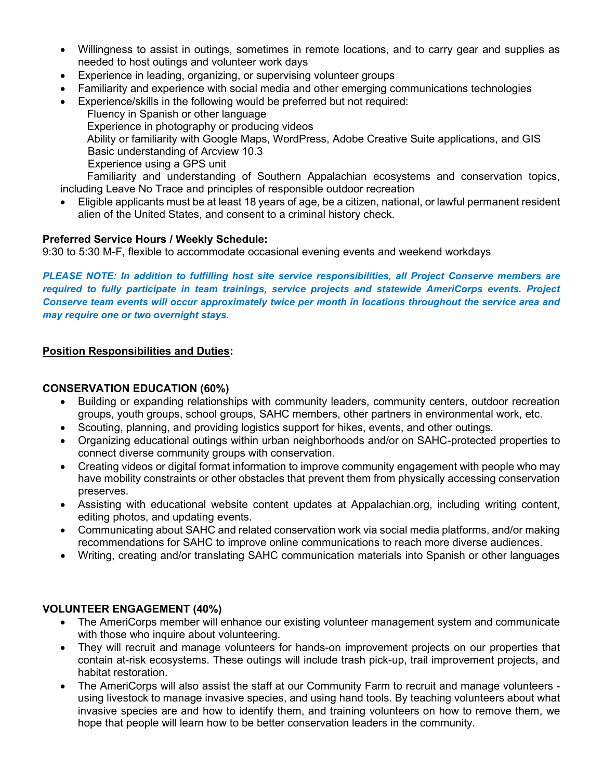- Willingness to assist in outings, sometimes in remote locations, and to carry gear and supplies as needed to host outings and volunteer work days
- Experience in leading, organizing, or supervising volunteer groups
- Familiarity and experience with social media and other emerging communications technologies
- Experience/skills in the following would be preferred but not required: Fluency in Spanish or other language Experience in photography or producing videos Ability or familiarity with Google Maps, WordPress, Adobe Creative Suite applications, and GIS Basic understanding of Arcview 10.3 Experience using a GPS unit Familiarity and understanding of Southern Appalachian ecosystems and conservation topics, including Leave No Trace and principles of responsible outdoor recreation
- Eligible applicants must be at least 18 years of age, be a citizen, national, or lawful permanent resident alien of the United States, and consent to a criminal history check.

## **Preferred Service Hours / Weekly Schedule:**

9:30 to 5:30 M-F, flexible to accommodate occasional evening events and weekend workdays

*PLEASE NOTE: In addition to fulfilling host site service responsibilities, all Project Conserve members are required to fully participate in team trainings, service projects and statewide AmeriCorps events. Project Conserve team events will occur approximately twice per month in locations throughout the service area and may require one or two overnight stays.*

## **Position Responsibilities and Duties:**

#### **CONSERVATION EDUCATION (60%)**

- Building or expanding relationships with community leaders, community centers, outdoor recreation groups, youth groups, school groups, SAHC members, other partners in environmental work, etc.
- Scouting, planning, and providing logistics support for hikes, events, and other outings.
- Organizing educational outings within urban neighborhoods and/or on SAHC-protected properties to connect diverse community groups with conservation.
- Creating videos or digital format information to improve community engagement with people who may have mobility constraints or other obstacles that prevent them from physically accessing conservation preserves.
- Assisting with educational website content updates at Appalachian.org, including writing content, editing photos, and updating events.
- Communicating about SAHC and related conservation work via social media platforms, and/or making recommendations for SAHC to improve online communications to reach more diverse audiences.
- Writing, creating and/or translating SAHC communication materials into Spanish or other languages

## **VOLUNTEER ENGAGEMENT (40%)**

- The AmeriCorps member will enhance our existing volunteer management system and communicate with those who inquire about volunteering.
- They will recruit and manage volunteers for hands-on improvement projects on our properties that contain at-risk ecosystems. These outings will include trash pick-up, trail improvement projects, and habitat restoration.
- The AmeriCorps will also assist the staff at our Community Farm to recruit and manage volunteers using livestock to manage invasive species, and using hand tools. By teaching volunteers about what invasive species are and how to identify them, and training volunteers on how to remove them, we hope that people will learn how to be better conservation leaders in the community.